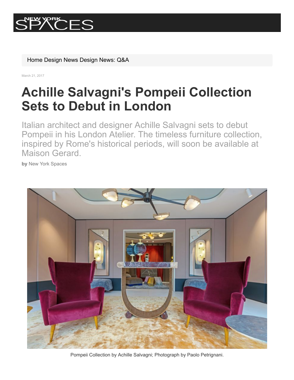

[Home](https://www.newyorkspaces.com/) [Design News](https://www.newyorkspaces.com/newSectionPage.cfm?id=450) [Design News: Q&A](https://www.newyorkspaces.com/newSectionPage.cfm?id=475)

March 21, 2017

# **Achille Salvagni's Pompeii Collection Sets to Debut in London**

Italian architect and designer Achille Salvagni sets to debut Pompeii in his London Atelier. The timeless furniture collection, inspired by Rome's historical periods, will soon be available at Maison Gerard.

**by** New York Spaces



Pompeii Collection by Achille Salvagni; Photograph by Paolo Petrignani.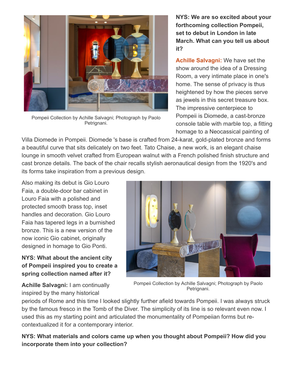

Pompeii Collection by Achille Salvagni; Photograph by Paolo Petrignani.

**NYS: We are so excited about your forthcoming collection Pompeii, set to debut in London in late March. What can you tell us about it?**

**[Achille Salvagni:](http://www.achillesalvagni.com/)** We have set the show around the idea of a Dressing Room, a very intimate place in one's home. The sense of privacy is thus heightened by how the pieces serve as jewels in this secret treasure box. The impressive centerpiece to Pompeii is Diomede, a cast-bronze console table with marble top, a fitting homage to a Neocassical painting of

Villa Diomede in Pompeii. Diomede 's base is crafted from 24-karat, gold-plated bronze and forms a beautiful curve that sits delicately on two feet. Tato Chaise, a new work, is an elegant chaise lounge in smooth velvet crafted from European walnut with a French polished finish structure and cast bronze details. The back of the chair recalls stylish aeronautical design from the 1920's and its forms take inspiration from a previous design.

Also making its debut is Gio Louro Faia, a double-door bar cabinet in Louro Faia with a polished and protected smooth brass top, inset handles and decoration. Gio Louro Faia has tapered legs in a burnished bronze. This is a new version of the now iconic Gio cabinet, originally designed in homage to Gio Ponti.

# **NYS: What about the ancient city of Pompeii inspired you to create a spring collection named after it?**

**Achille Salvagni:** I am continually inspired by the many historical



Pompeii Collection by Achille Salvagni; Photograph by Paolo Petrignani.

periods of Rome and this time I looked slightly further afield towards Pompeii. I was always struck by the famous fresco in the Tomb of the Diver. The simplicity of its line is so relevant even now. I used this as my starting point and articulated the monumentality of Pompeiian forms but recontextualized it for a contemporary interior.

**NYS: What materials and colors came up when you thought about Pompeii? How did you incorporate them into your collection?**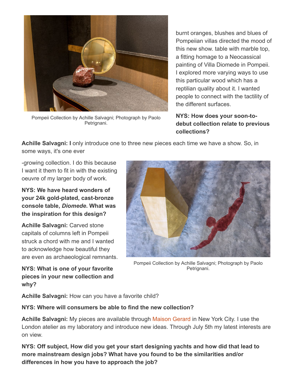

Pompeii Collection by Achille Salvagni; Photograph by Paolo Petrignani.

burnt oranges, blushes and blues of Pompeiian villas directed the mood of this new show. table with marble top, a fitting homage to a Neocassical painting of Villa Diomede in Pompeii. I explored more varying ways to use this particular wood which has a reptilian quality about it. I wanted people to connect with the tactility of the different surfaces.

### **NYS: How does your soon-todebut collection relate to previous collections?**

**Achille Salvagni: I** only introduce one to three new pieces each time we have a show. So, in some ways, it's one ever

growing collection. I do this because I want it them to fit in with the existing oeuvre of my larger body of work.

**NYS: We have heard wonders of** your 24k gold-plated, cast-bronze **console table,** *Diomede***. What was the inspiration for this design?**

**Achille Salvagni:** Carved stone capitals of columns left in Pompeii struck a chord with me and I wanted to acknowledge how beautiful they are even as archaeological remnants.

**NYS: What is one of your favorite pieces in your new collection and why?**



Pompeii Collection by Achille Salvagni; Photograph by Paolo Petrignani.

**Achille Salvagni:** How can you have a favorite child?

# **NYS: Where will consumers be able to find the new collection?**

**Achille Salvagni:** My pieces are available through [Maison Gerard](http://www.maisongerard.com/collection/achille-salvagni) in New York City. I use the London atelier as my laboratory and introduce new ideas. Through July 5th my latest interests are on view.

**NYS: Off subject, How did you get your start designing yachts and how did that lead to more mainstream design jobs? What have you found to be the similarities and/or differences in how you have to approach the job?**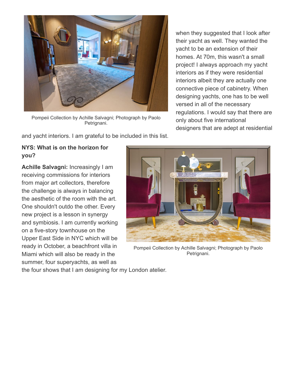

Pompeii Collection by Achille Salvagni; Photograph by Paolo Petrignani.

and yacht interiors. I am grateful to be included in this list.

# **NYS: What is on the horizon for you?**

**Achille Salvagni:** Increasingly I am receiving commissions for interiors from major art collectors, therefore the challenge is always in balancing the aesthetic of the room with the art. One shouldn't outdo the other. Every new project is a lesson in synergy and symbiosis. I am currently working on a five-story townhouse on the Upper East Side in NYC which will be ready in October, a beachfront villa in Miami which will also be ready in the summer, four superyachts, as well as



Pompeii Collection by Achille Salvagni; Photograph by Paolo Petrignani.

the four shows that I am designing for my London atelier.

when they suggested that I look after their yacht as well. They wanted the yacht to be an extension of their homes. At 70m, this wasn't a small project! I always approach my yacht interiors as if they were residential interiors albeit they are actually one connective piece of cabinetry. When designing yachts, one has to be well versed in all of the necessary regulations. I would say that there are only about five international designers that are adept at residential